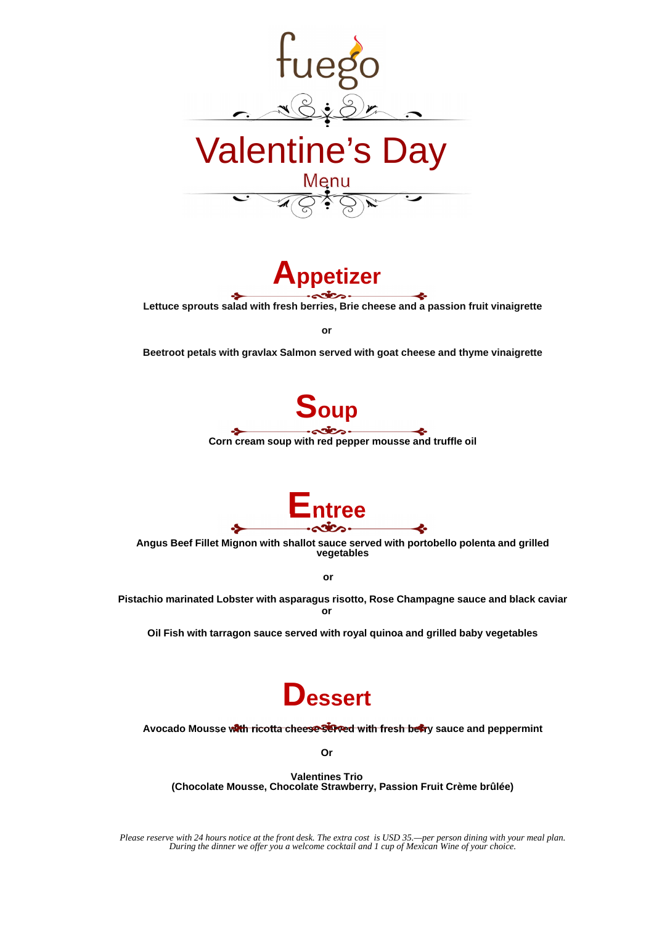**Lettuce sprouts salad with fresh berries, Brie cheese and a passion fruit vinaigrette**

**or**

**Beetroot petals with gravlax Salmon served with goat cheese and thyme vinaigrette** 





**Angus Beef Fillet Mignon with shallot sauce served with portobello polenta and grilled vegetables**

**or**

**Pistachio marinated Lobster with asparagus risotto, Rose Champagne sauce and black caviar or**



**Oil Fish with tarragon sauce served with royal quinoa and grilled baby vegetables**

## **Dessert**



## Avocado Mousse with ricotta cheese served with fresh beary sauce and peppermint

**Or**

## **Valentines Trio (Chocolate Mousse, Chocolate Strawberry, Passion Fruit Crème brûlée)**

*Please reserve with 24 hours notice at the front desk. The extra cost is USD 35.—per person dining with your meal plan. During the dinner we offer you a welcome cocktail and 1 cup of Mexican Wine of your choice.*